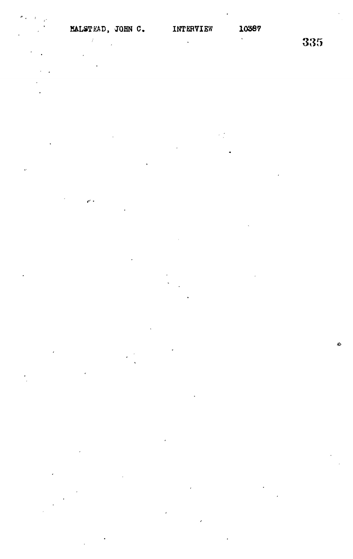$\hat{t}$ 

 $\ddot{\phantom{0}}$ 

Â.

، ب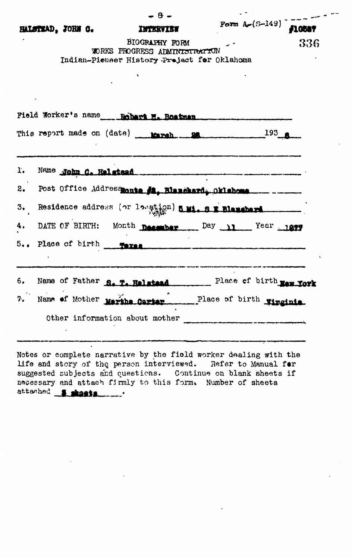HALSTEAD, JOHN C.

**INTERVIEW** 

Form  $A = (S-149)$ #10587

336

BIOGRAPHY FORM WORKS PROGRESS ADMINISTRATION Indian-Pienser History Prejact for Oklahoma

|    | This report made on (date) harsh. 28<br>193               |
|----|-----------------------------------------------------------|
| r. | Name John C. Halstead                                     |
| 2. | Post Office Addressmonts & Blanchard, Oklahoms            |
| 3. | Residence address (or lougtion) <b>5.M. S E Blanchard</b> |
|    | 4. DATE OF BIRTH: Month December Day 11 Year 1877         |
|    | 5 Place of birth <b>Texas</b>                             |
|    | 6. Name of Father S. T. Helstend Place of birth New York  |
|    | 7. Name of Mother Martha Carter Place of birth Winginia.  |
|    | Other information about mother                            |
|    |                                                           |

Notes or complete narrative by the field worker dealing with the life and story of the person interviewed. Refer to Manual for suggested subjects and questions. Continue on blank sheets if necessary and attach firmly to this form. Number of sheets attached Bassa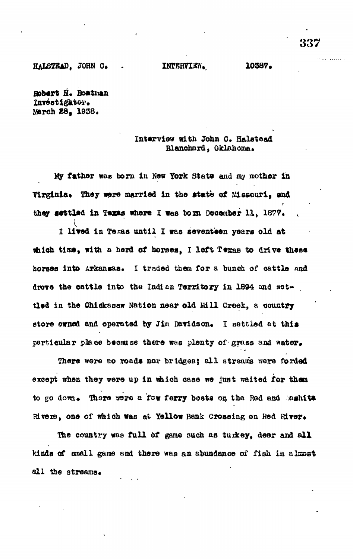**Bobert H. Boatman Investigator\* Mftreh E8, 1938.**

## **Interview with John C» Halstead** Blanchard, Oklahoma.

**My father was born In New York State and my mother In Virginia. They wore married in the state of Missouri, and** they settled in Texas where I was bomn December 11, 1877.  **,.**

**I lived In Texas until I was seventeen years old at** which time, with a herd of horses, I left Texas to drive these horses into Arkansas. I traded them for a bunch of cattle and **drove the eattle into the Indian Territory in 1894 and settled in the Chlokasaw Nation near old Kill Creek, a country** store owned and operated by Jim Davidson. I settled at this particular place because there was plenty of grass and water.

There were no roads nor bridges; all streams were forded **except when they were up In which case we lust waited for them** to go down. There were a fow ferry boats on the Red and Ashita **Rivers, one of which was at Yellow Bank Crossing on Red River\***

The country was full of game such as turkey, deer and all **kinds of email game and there was an abundance of fish in ahasst** all the streams.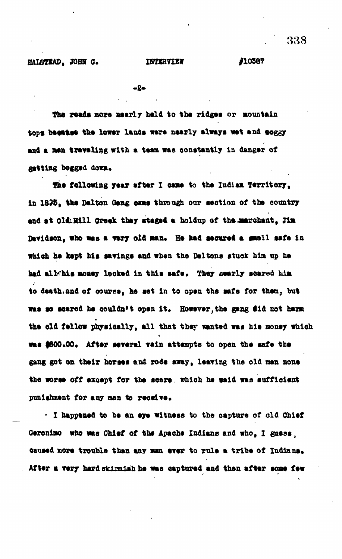$-2-$ 

The roads more nearly held to the ridges or mountain tops becatee the lower lands were nearly always wet and moggy **and a run traveling with a taam was oonetantly in danger of gattlag bogged dorm.**

The following year after I came to the Indian Territory, in 1895, the Dalton Gang came through our section of the country and at Old: Mill Greek they staged a holdup of the merchant, Jim Davidson, who was a very old man. He kad secured a small safe in **which ha kapt hit amringa and whan tha Daltone stuok him up ha** had alb'his money looked in this safe. They *a*early scared him to death, and of course, he set in to open the safe for them. but was so seared he couldn't open it. However, the gang iid not harm the old fellow physically, all that they wanted was his money which **was \$600.00. After several vain attempts to open the safe the** gang got on their horses and rode away, leaving the old man none the worse off except for the scare, which he maid was sufficient **puniahmant for any man to receive .**

**- I happened to be an eye witneea to the oaptore of old Chief Geroniao who was Chief of the Apache Indians and who, I gueoe,** caused more trouble than any man ever to rule a tribe of Indians. After a very hard skirminh he was captured and then after some few